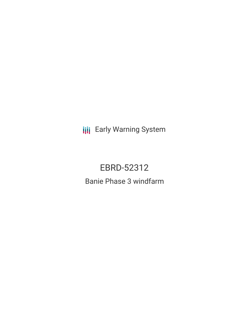**III** Early Warning System

EBRD-52312 Banie Phase 3 windfarm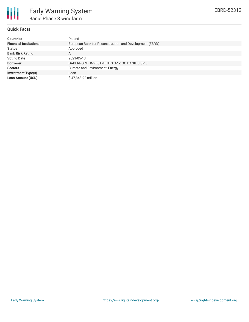

## **Quick Facts**

| <b>Countries</b>              | Poland                                                  |
|-------------------------------|---------------------------------------------------------|
| <b>Financial Institutions</b> | European Bank for Reconstruction and Development (EBRD) |
| <b>Status</b>                 | Approved                                                |
| <b>Bank Risk Rating</b>       | A                                                       |
| <b>Voting Date</b>            | 2021-05-13                                              |
| <b>Borrower</b>               | GABERPOINT INVESTMENTS SP Z OO BANIE 3 SP J             |
| <b>Sectors</b>                | Climate and Environment, Energy                         |
| <b>Investment Type(s)</b>     | Loan                                                    |
| Loan Amount (USD)             | \$47,343.92 million                                     |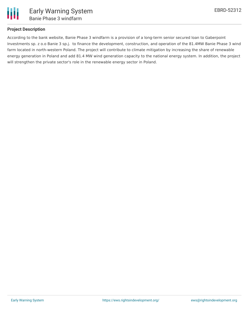

# **Project Description**

According to the bank website, Banie Phase 3 windfarm is a provision of a long-term senior secured loan to Gaberpoint Investments sp. z o.o Banie 3 sp.j. to finance the development, construction, and operation of the 81.4MW Banie Phase 3 wind farm located in north-western Poland. The project will contribute to climate mitigation by increasing the share of renewable energy generation in Poland and add 81.4 MW wind generation capacity to the national energy system. In addition, the project will strengthen the private sector's role in the renewable energy sector in Poland.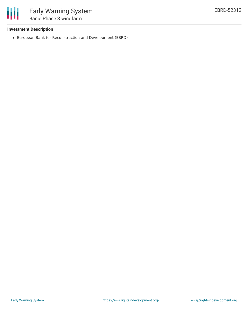

## **Investment Description**

European Bank for Reconstruction and Development (EBRD)